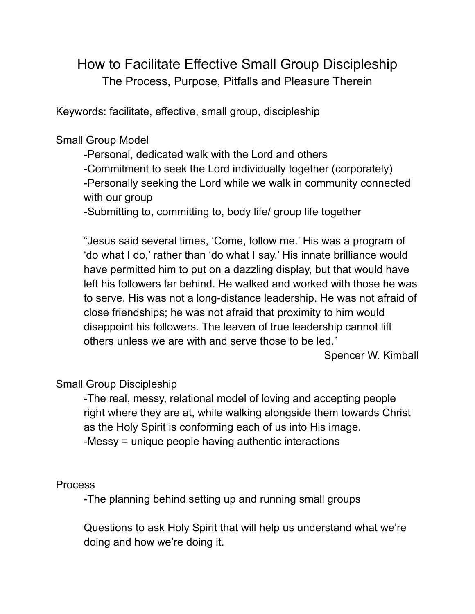# How to Facilitate Effective Small Group Discipleship The Process, Purpose, Pitfalls and Pleasure Therein

Keywords: facilitate, effective, small group, discipleship

### Small Group Model

-Personal, dedicated walk with the Lord and others -Commitment to seek the Lord individually together (corporately) -Personally seeking the Lord while we walk in community connected with our group

-Submitting to, committing to, body life/ group life together

"Jesus said several times, 'Come, follow me.' His was a program of 'do what I do,' rather than 'do what I say.' His innate brilliance would have permitted him to put on a dazzling display, but that would have left his followers far behind. He walked and worked with those he was to serve. His was not a long-distance leadership. He was not afraid of close friendships; he was not afraid that proximity to him would disappoint his followers. The leaven of true leadership cannot lift others unless we are with and serve those to be led."

Spencer W. Kimball

# Small Group Discipleship

-The real, messy, relational model of loving and accepting people right where they are at, while walking alongside them towards Christ as the Holy Spirit is conforming each of us into His image. -Messy = unique people having authentic interactions

#### Process

-The planning behind setting up and running small groups

Questions to ask Holy Spirit that will help us understand what we're doing and how we're doing it.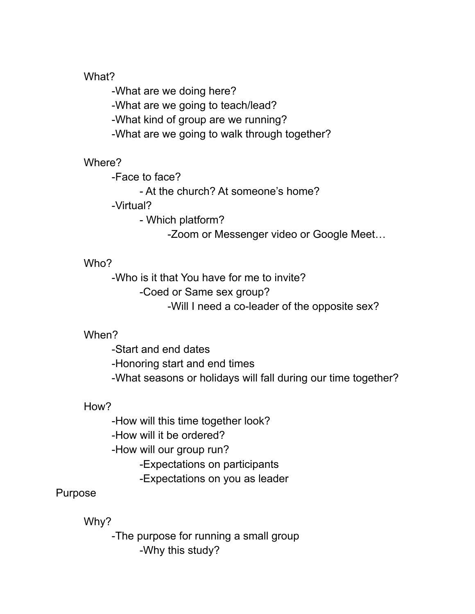#### What?

-What are we doing here? -What are we going to teach/lead? -What kind of group are we running? -What are we going to walk through together?

# Where?

-Face to face?

- At the church? At someone's home?

-Virtual?

- Which platform?

-Zoom or Messenger video or Google Meet…

# Who?

-Who is it that You have for me to invite? -Coed or Same sex group?

-Will I need a co-leader of the opposite sex?

# When?

-Start and end dates

-Honoring start and end times

-What seasons or holidays will fall during our time together?

# How?

-How will this time together look?

-How will it be ordered?

-How will our group run?

-Expectations on participants

-Expectations on you as leader

# Purpose

Why?

-The purpose for running a small group -Why this study?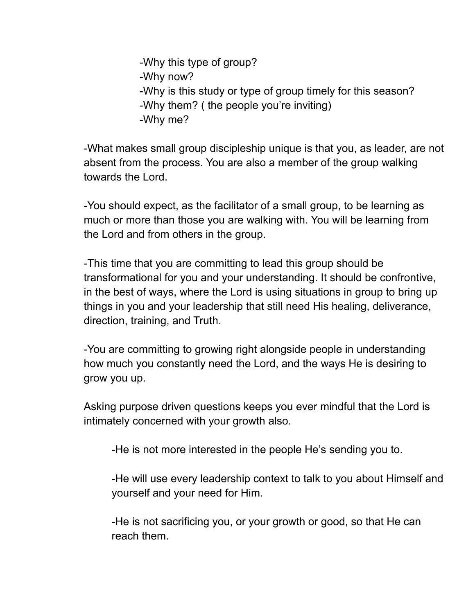-Why this type of group? -Why now? -Why is this study or type of group timely for this season? -Why them? ( the people you're inviting) -Why me?

-What makes small group discipleship unique is that you, as leader, are not absent from the process. You are also a member of the group walking towards the Lord.

-You should expect, as the facilitator of a small group, to be learning as much or more than those you are walking with. You will be learning from the Lord and from others in the group.

-This time that you are committing to lead this group should be transformational for you and your understanding. It should be confrontive, in the best of ways, where the Lord is using situations in group to bring up things in you and your leadership that still need His healing, deliverance, direction, training, and Truth.

-You are committing to growing right alongside people in understanding how much you constantly need the Lord, and the ways He is desiring to grow you up.

Asking purpose driven questions keeps you ever mindful that the Lord is intimately concerned with your growth also.

-He is not more interested in the people He's sending you to.

-He will use every leadership context to talk to you about Himself and yourself and your need for Him.

-He is not sacrificing you, or your growth or good, so that He can reach them.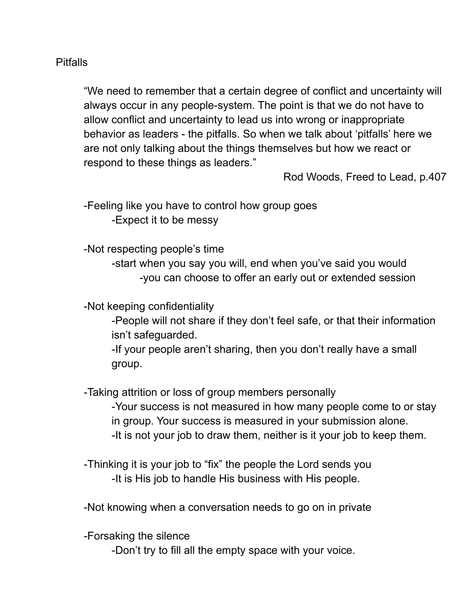#### Pitfalls

"We need to remember that a certain degree of conflict and uncertainty will always occur in any people-system. The point is that we do not have to allow conflict and uncertainty to lead us into wrong or inappropriate behavior as leaders - the pitfalls. So when we talk about 'pitfalls' here we are not only talking about the things themselves but how we react or respond to these things as leaders."

Rod Woods, Freed to Lead, p.407

-Feeling like you have to control how group goes -Expect it to be messy

-Not respecting people's time

-start when you say you will, end when you've said you would -you can choose to offer an early out or extended session

-Not keeping confidentiality

-People will not share if they don't feel safe, or that their information isn't safeguarded.

-If your people aren't sharing, then you don't really have a small group.

-Taking attrition or loss of group members personally

-Your success is not measured in how many people come to or stay in group. Your success is measured in your submission alone. -It is not your job to draw them, neither is it your job to keep them.

-Thinking it is your job to "fix" the people the Lord sends you -It is His job to handle His business with His people.

-Not knowing when a conversation needs to go on in private

-Forsaking the silence

-Don't try to fill all the empty space with your voice.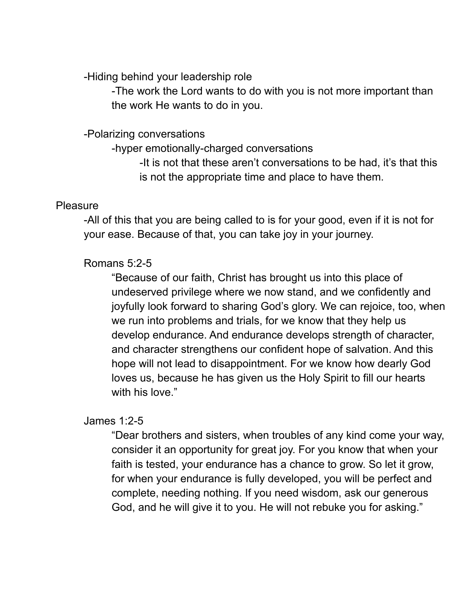-Hiding behind your leadership role

-The work the Lord wants to do with you is not more important than the work He wants to do in you.

### -Polarizing conversations

-hyper emotionally-charged conversations

-It is not that these aren't conversations to be had, it's that this is not the appropriate time and place to have them.

### **Pleasure**

-All of this that you are being called to is for your good, even if it is not for your ease. Because of that, you can take joy in your journey.

# Romans 5:2-5

"Because of our faith, Christ has brought us into this place of undeserved privilege where we now stand, and we confidently and joyfully look forward to sharing God's glory. We can rejoice, too, when we run into problems and trials, for we know that they help us develop endurance. And endurance develops strength of character, and character strengthens our confident hope of salvation. And this hope will not lead to disappointment. For we know how dearly God loves us, because he has given us the Holy Spirit to fill our hearts with his love."

# James 1:2-5

"Dear brothers and sisters, when troubles of any kind come your way, consider it an opportunity for great joy. For you know that when your faith is tested, your endurance has a chance to grow. So let it grow, for when your endurance is fully developed, you will be perfect and complete, needing nothing. If you need wisdom, ask our generous God, and he will give it to you. He will not rebuke you for asking."